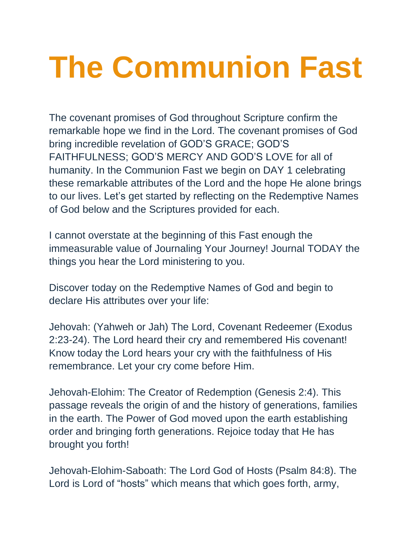## **The Communion Fast**

The covenant promises of God throughout Scripture confirm the remarkable hope we find in the Lord. The covenant promises of God bring incredible revelation of GOD'S GRACE; GOD'S FAITHFULNESS; GOD'S MERCY AND GOD'S LOVE for all of humanity. In the Communion Fast we begin on DAY 1 celebrating these remarkable attributes of the Lord and the hope He alone brings to our lives. Let's get started by reflecting on the Redemptive Names of God below and the Scriptures provided for each.

I cannot overstate at the beginning of this Fast enough the immeasurable value of Journaling Your Journey! Journal TODAY the things you hear the Lord ministering to you.

Discover today on the Redemptive Names of God and begin to declare His attributes over your life:

Jehovah: (Yahweh or Jah) The Lord, Covenant Redeemer (Exodus 2:23-24). The Lord heard their cry and remembered His covenant! Know today the Lord hears your cry with the faithfulness of His remembrance. Let your cry come before Him.

Jehovah-Elohim: The Creator of Redemption (Genesis 2:4). This passage reveals the origin of and the history of generations, families in the earth. The Power of God moved upon the earth establishing order and bringing forth generations. Rejoice today that He has brought you forth!

Jehovah-Elohim-Saboath: The Lord God of Hosts (Psalm 84:8). The Lord is Lord of "hosts" which means that which goes forth, army,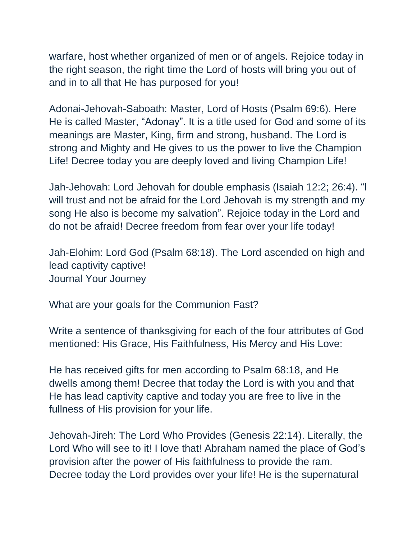warfare, host whether organized of men or of angels. Rejoice today in the right season, the right time the Lord of hosts will bring you out of and in to all that He has purposed for you!

Adonai-Jehovah-Saboath: Master, Lord of Hosts (Psalm 69:6). Here He is called Master, "Adonay". It is a title used for God and some of its meanings are Master, King, firm and strong, husband. The Lord is strong and Mighty and He gives to us the power to live the Champion Life! Decree today you are deeply loved and living Champion Life!

Jah-Jehovah: Lord Jehovah for double emphasis (Isaiah 12:2; 26:4). "I will trust and not be afraid for the Lord Jehovah is my strength and my song He also is become my salvation". Rejoice today in the Lord and do not be afraid! Decree freedom from fear over your life today!

Jah-Elohim: Lord God (Psalm 68:18). The Lord ascended on high and lead captivity captive! Journal Your Journey

What are your goals for the Communion Fast?

Write a sentence of thanksgiving for each of the four attributes of God mentioned: His Grace, His Faithfulness, His Mercy and His Love:

He has received gifts for men according to Psalm 68:18, and He dwells among them! Decree that today the Lord is with you and that He has lead captivity captive and today you are free to live in the fullness of His provision for your life.

Jehovah-Jireh: The Lord Who Provides (Genesis 22:14). Literally, the Lord Who will see to it! I love that! Abraham named the place of God's provision after the power of His faithfulness to provide the ram. Decree today the Lord provides over your life! He is the supernatural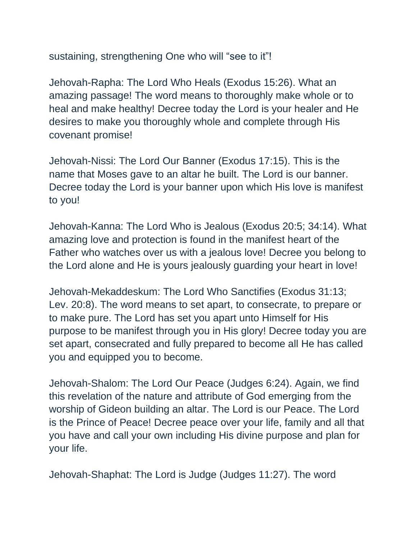sustaining, strengthening One who will "see to it"!

Jehovah-Rapha: The Lord Who Heals (Exodus 15:26). What an amazing passage! The word means to thoroughly make whole or to heal and make healthy! Decree today the Lord is your healer and He desires to make you thoroughly whole and complete through His covenant promise!

Jehovah-Nissi: The Lord Our Banner (Exodus 17:15). This is the name that Moses gave to an altar he built. The Lord is our banner. Decree today the Lord is your banner upon which His love is manifest to you!

Jehovah-Kanna: The Lord Who is Jealous (Exodus 20:5; 34:14). What amazing love and protection is found in the manifest heart of the Father who watches over us with a jealous love! Decree you belong to the Lord alone and He is yours jealously guarding your heart in love!

Jehovah-Mekaddeskum: The Lord Who Sanctifies (Exodus 31:13; Lev. 20:8). The word means to set apart, to consecrate, to prepare or to make pure. The Lord has set you apart unto Himself for His purpose to be manifest through you in His glory! Decree today you are set apart, consecrated and fully prepared to become all He has called you and equipped you to become.

Jehovah-Shalom: The Lord Our Peace (Judges 6:24). Again, we find this revelation of the nature and attribute of God emerging from the worship of Gideon building an altar. The Lord is our Peace. The Lord is the Prince of Peace! Decree peace over your life, family and all that you have and call your own including His divine purpose and plan for your life.

Jehovah-Shaphat: The Lord is Judge (Judges 11:27). The word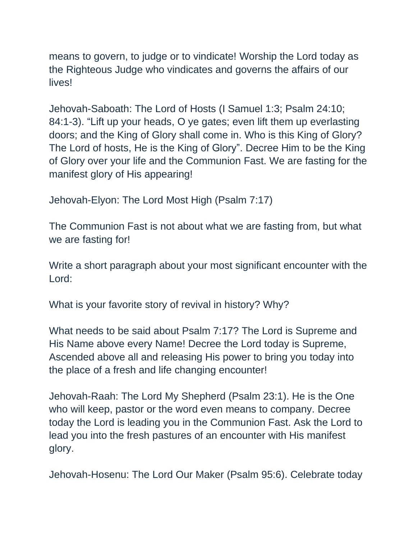means to govern, to judge or to vindicate! Worship the Lord today as the Righteous Judge who vindicates and governs the affairs of our lives!

Jehovah-Saboath: The Lord of Hosts (I Samuel 1:3; Psalm 24:10; 84:1-3). "Lift up your heads, O ye gates; even lift them up everlasting doors; and the King of Glory shall come in. Who is this King of Glory? The Lord of hosts, He is the King of Glory". Decree Him to be the King of Glory over your life and the Communion Fast. We are fasting for the manifest glory of His appearing!

Jehovah-Elyon: The Lord Most High (Psalm 7:17)

The Communion Fast is not about what we are fasting from, but what we are fasting for!

Write a short paragraph about your most significant encounter with the Lord:

What is your favorite story of revival in history? Why?

What needs to be said about Psalm 7:17? The Lord is Supreme and His Name above every Name! Decree the Lord today is Supreme, Ascended above all and releasing His power to bring you today into the place of a fresh and life changing encounter!

Jehovah-Raah: The Lord My Shepherd (Psalm 23:1). He is the One who will keep, pastor or the word even means to company. Decree today the Lord is leading you in the Communion Fast. Ask the Lord to lead you into the fresh pastures of an encounter with His manifest glory.

Jehovah-Hosenu: The Lord Our Maker (Psalm 95:6). Celebrate today